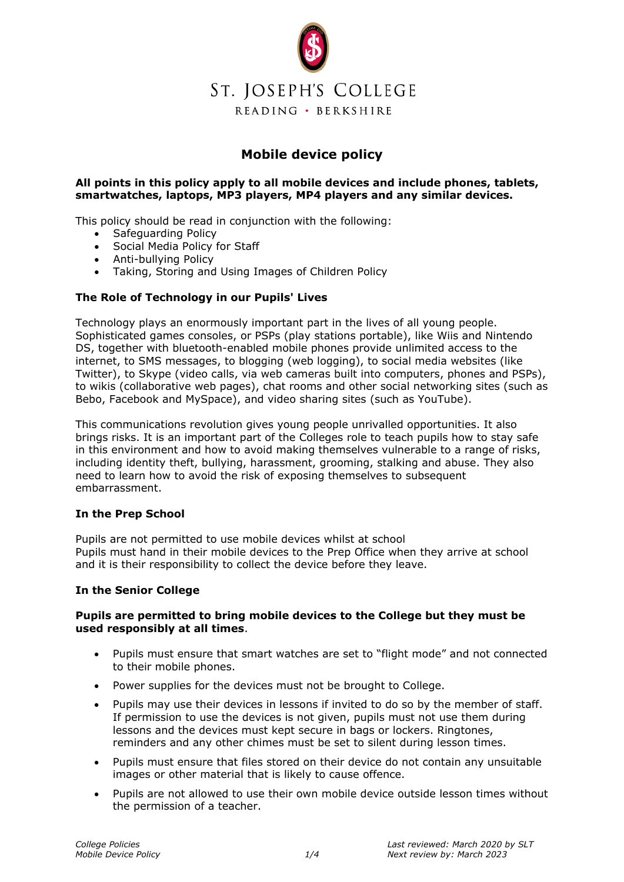

# **Mobile device policy**

# **All points in this policy apply to all mobile devices and include phones, tablets, smartwatches, laptops, MP3 players, MP4 players and any similar devices.**

This policy should be read in conjunction with the following:

- Safeguarding Policy
- Social Media Policy for Staff
- Anti-bullying Policy
- Taking, Storing and Using Images of Children Policy

# **The Role of Technology in our Pupils' Lives**

Technology plays an enormously important part in the lives of all young people. Sophisticated games consoles, or PSPs (play stations portable), like Wiis and Nintendo DS, together with bluetooth-enabled mobile phones provide unlimited access to the internet, to SMS messages, to blogging (web logging), to social media websites (like Twitter), to Skype (video calls, via web cameras built into computers, phones and PSPs), to wikis (collaborative web pages), chat rooms and other social networking sites (such as Bebo, Facebook and MySpace), and video sharing sites (such as YouTube).

This communications revolution gives young people unrivalled opportunities. It also brings risks. It is an important part of the Colleges role to teach pupils how to stay safe in this environment and how to avoid making themselves vulnerable to a range of risks, including identity theft, bullying, harassment, grooming, stalking and abuse. They also need to learn how to avoid the risk of exposing themselves to subsequent embarrassment.

#### **In the Prep School**

Pupils are not permitted to use mobile devices whilst at school Pupils must hand in their mobile devices to the Prep Office when they arrive at school and it is their responsibility to collect the device before they leave.

# **In the Senior College**

# **Pupils are permitted to bring mobile devices to the College but they must be used responsibly at all times**.

- Pupils must ensure that smart watches are set to "flight mode" and not connected to their mobile phones.
- Power supplies for the devices must not be brought to College.
- Pupils may use their devices in lessons if invited to do so by the member of staff. If permission to use the devices is not given, pupils must not use them during lessons and the devices must kept secure in bags or lockers. Ringtones, reminders and any other chimes must be set to silent during lesson times.
- Pupils must ensure that files stored on their device do not contain any unsuitable images or other material that is likely to cause offence.
- Pupils are not allowed to use their own mobile device outside lesson times without the permission of a teacher.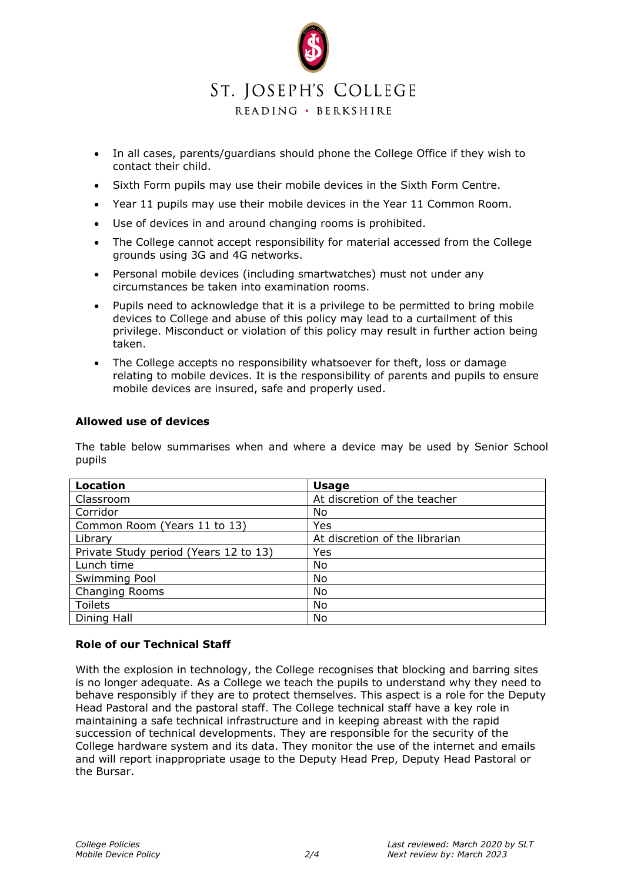

- In all cases, parents/guardians should phone the College Office if they wish to contact their child.
- Sixth Form pupils may use their mobile devices in the Sixth Form Centre.
- Year 11 pupils may use their mobile devices in the Year 11 Common Room.
- Use of devices in and around changing rooms is prohibited.
- The College cannot accept responsibility for material accessed from the College grounds using 3G and 4G networks.
- Personal mobile devices (including smartwatches) must not under any circumstances be taken into examination rooms.
- Pupils need to acknowledge that it is a privilege to be permitted to bring mobile devices to College and abuse of this policy may lead to a curtailment of this privilege. Misconduct or violation of this policy may result in further action being taken.
- The College accepts no responsibility whatsoever for theft, loss or damage relating to mobile devices. It is the responsibility of parents and pupils to ensure mobile devices are insured, safe and properly used.

# **Allowed use of devices**

The table below summarises when and where a device may be used by Senior School pupils

| <b>Location</b>                       | <b>Usage</b>                   |
|---------------------------------------|--------------------------------|
| Classroom                             | At discretion of the teacher   |
| Corridor                              | No                             |
| Common Room (Years 11 to 13)          | Yes                            |
| Library                               | At discretion of the librarian |
| Private Study period (Years 12 to 13) | Yes                            |
| Lunch time                            | No                             |
| Swimming Pool                         | No                             |
| <b>Changing Rooms</b>                 | No                             |
| <b>Toilets</b>                        | No                             |
| Dining Hall                           | No                             |

#### **Role of our Technical Staff**

With the explosion in technology, the College recognises that blocking and barring sites is no longer adequate. As a College we teach the pupils to understand why they need to behave responsibly if they are to protect themselves. This aspect is a role for the Deputy Head Pastoral and the pastoral staff. The College technical staff have a key role in maintaining a safe technical infrastructure and in keeping abreast with the rapid succession of technical developments. They are responsible for the security of the College hardware system and its data. They monitor the use of the internet and emails and will report inappropriate usage to the Deputy Head Prep, Deputy Head Pastoral or the Bursar.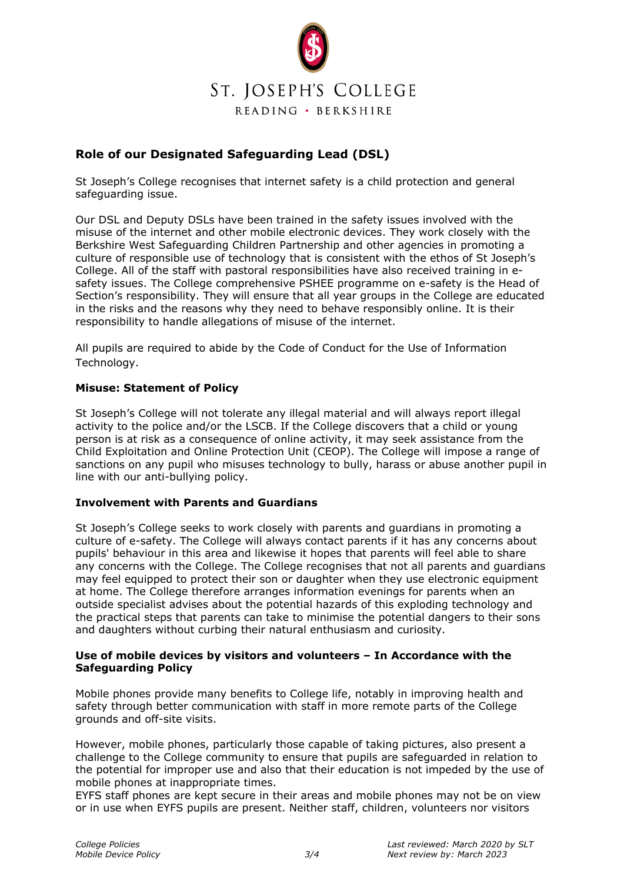

# **Role of our Designated Safeguarding Lead (DSL)**

St Joseph's College recognises that internet safety is a child protection and general safeguarding issue.

Our DSL and Deputy DSLs have been trained in the safety issues involved with the misuse of the internet and other mobile electronic devices. They work closely with the Berkshire West Safeguarding Children Partnership and other agencies in promoting a culture of responsible use of technology that is consistent with the ethos of St Joseph's College. All of the staff with pastoral responsibilities have also received training in esafety issues. The College comprehensive PSHEE programme on e-safety is the Head of Section's responsibility. They will ensure that all year groups in the College are educated in the risks and the reasons why they need to behave responsibly online. It is their responsibility to handle allegations of misuse of the internet.

All pupils are required to abide by the Code of Conduct for the Use of Information Technology.

# **Misuse: Statement of Policy**

St Joseph's College will not tolerate any illegal material and will always report illegal activity to the police and/or the LSCB. If the College discovers that a child or young person is at risk as a consequence of online activity, it may seek assistance from the Child Exploitation and Online Protection Unit (CEOP). The College will impose a range of sanctions on any pupil who misuses technology to bully, harass or abuse another pupil in line with our anti-bullying policy.

#### **Involvement with Parents and Guardians**

St Joseph's College seeks to work closely with parents and guardians in promoting a culture of e-safety. The College will always contact parents if it has any concerns about pupils' behaviour in this area and likewise it hopes that parents will feel able to share any concerns with the College. The College recognises that not all parents and guardians may feel equipped to protect their son or daughter when they use electronic equipment at home. The College therefore arranges information evenings for parents when an outside specialist advises about the potential hazards of this exploding technology and the practical steps that parents can take to minimise the potential dangers to their sons and daughters without curbing their natural enthusiasm and curiosity.

# **Use of mobile devices by visitors and volunteers – In Accordance with the Safeguarding Policy**

Mobile phones provide many benefits to College life, notably in improving health and safety through better communication with staff in more remote parts of the College grounds and off-site visits.

However, mobile phones, particularly those capable of taking pictures, also present a challenge to the College community to ensure that pupils are safeguarded in relation to the potential for improper use and also that their education is not impeded by the use of mobile phones at inappropriate times.

EYFS staff phones are kept secure in their areas and mobile phones may not be on view or in use when EYFS pupils are present. Neither staff, children, volunteers nor visitors